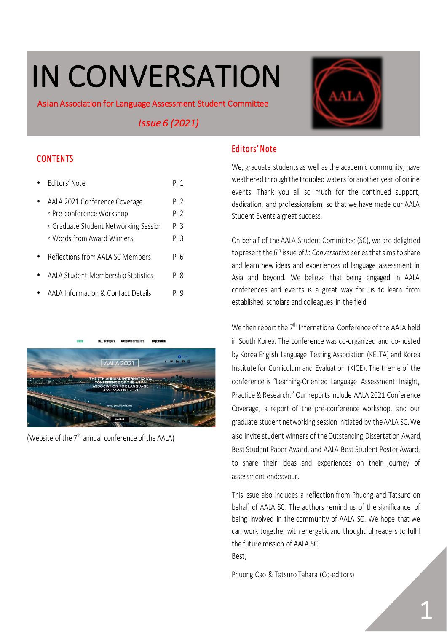# IN CONVERSATION

Asian Association for Language Assessment Student Committee

 *Issue 6 (2021)* 

# **CONTENTS**

| Fditors' Note                                                                                                                     | P 1                        |
|-----------------------------------------------------------------------------------------------------------------------------------|----------------------------|
| AALA 2021 Conference Coverage<br>∘ Pre-conference Workshop<br>∘ Graduate Student Networking Session<br>• Words from Award Winners | P. 2<br>P. 2<br>P. 3<br>ΡЗ |
| Reflections from AALA SC Members                                                                                                  | P. 6                       |
| AALA Student Membership Statistics                                                                                                | P. 8                       |
| AALA Information & Contact Details                                                                                                | рq                         |



(Website of the  $7<sup>th</sup>$  annual conference of the AALA)



# Editors' Note

We, graduate students as well as the academic community, have weathered through the troubled waters for another year of online events. Thank you all so much for the continued support, dedication, and professionalism so that we have made our AALA Student Events a great success.

On behalf of the AALA Student Committee (SC), we are delighted to present the 6<sup>th</sup> issue of *In Conversation* series that aims to share and learn new ideas and experiences of language assessment in Asia and beyond. We believe that being engaged in AALA conferences and events is a great way for us to learn from established scholars and colleagues in the field.

We then report the  $7<sup>th</sup>$  International Conference of the AALA held in South Korea. The conference was co-organized and co-hosted by Korea English Language Testing Association (KELTA) and Korea Institute for Curriculum and Evaluation (KICE). The theme of the conference is "Learning-Oriented Language Assessment: Insight, Practice & Research." Our reports include AALA 2021 Conference Coverage, a report of the pre-conference workshop, and our graduate student networking session initiated by the AALA SC. We also invite student winners of the Outstanding Dissertation Award, Best Student Paper Award, and AALA Best Student Poster Award, to share their ideas and experiences on their journey of assessment endeavour.

This issue also includes a reflection from Phuong and Tatsuro on behalf of AALA SC. The authors remind us of the significance of being involved in the community of AALA SC. We hope that we can work together with energetic and thoughtful readers to fulfil the future mission of AALA SC. Best,

Phuong Cao & Tatsuro Tahara (Co-editors)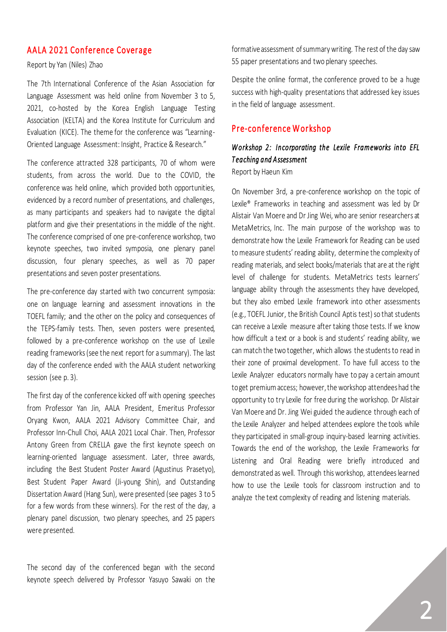## AALA 2021 Conference Coverage

#### Report by Yan (Niles) Zhao

The 7th International Conference of the Asian Association for Language Assessment was held online from November 3 to 5, 2021, co-hosted by the Korea English Language Testing Association (KELTA) and the Korea Institute for Curriculum and Evaluation (KICE). The theme for the conference was "Learning-Oriented Language Assessment: Insight, Practice & Research."

The conference attracted 328 participants, 70 of whom were students, from across the world. Due to the COVID, the conference was held online, which provided both opportunities, evidenced by a record number of presentations, and challenges, as many participants and speakers had to navigate the digital platform and give their presentations in the middle of the night. The conference comprised of one pre-conference workshop, two keynote speeches, two invited symposia, one plenary panel discussion, four plenary speeches, as well as 70 paper presentations and seven poster presentations.

The pre-conference day started with two concurrent symposia: one on language learning and assessment innovations in the TOEFL family; and the other on the policy and consequences of the TEPS-family tests. Then, seven posters were presented, followed by a pre-conference workshop on the use of Lexile reading frameworks (see the next report for a summary). The last day of the conference ended with the AALA student networking session (see p. 3).

The first day of the conference kicked off with opening speeches from Professor Yan Jin, AALA President, Emeritus Professor Oryang Kwon, AALA 2021 Advisory Committee Chair, and Professor Inn-Chull Choi, AALA 2021 Local Chair. Then, Professor Antony Green from CRELLA gave the first keynote speech on learning-oriented language assessment. Later, three awards, including the Best Student Poster Award (Agustinus Prasetyo), Best Student Paper Award (Ji-young Shin), and Outstanding Dissertation Award (Hang Sun), were presented (see pages 3 to 5 for a few words from these winners). For the rest of the day, a plenary panel discussion, two plenary speeches, and 25 papers were presented.

The second day of the conferenced began with the second keynote speech delivered by Professor Yasuyo Sawaki on the formative assessment of summary writing. The rest of the day saw 55 paper presentations and two plenary speeches.

Despite the online format, the conference proved to be a huge success with high-quality presentations that addressed key issues in the field of language assessment.

## Pre-conference Workshop

# *W orkshop 2: Incorporating the Lexile Frameworks into EFL T eaching and A ssessment*

Report by Haeun Kim

On November 3rd, a pre-conference workshop on the topic of Lexile® Frameworks in teaching and assessment was led by Dr Alistair Van Moere and Dr Jing Wei, who are senior researchers at MetaMetrics, Inc. The main purpose of the workshop was to demonstrate how the Lexile Framework for Reading can be used to measure students' reading ability, determine the complexity of reading materials, and select books/materials that are at the right level of challenge for students. MetaMetrics tests learners' language ability through the assessments they have developed, but they also embed Lexile framework into other assessments (e.g., TOEFL Junior, the British Council Aptis test) so that students can receive a Lexile measure after taking those tests. If we know how difficult a text or a book is and students' reading ability, we can match the two together, which allows the students to read in their zone of proximal development. To have full access to the Lexile Analyzer educators normally have to pay a certain amount to get premium access; however, the workshop attendees had the opportunity to try Lexile for free during the workshop. Dr Alistair Van Moere and Dr. Jing Wei guided the audience through each of the Lexile Analyzer and helped attendees explore the tools while they participated in small-group inquiry-based learning activities. Towards the end of the workshop, the Lexile Frameworks for Listening and Oral Reading were briefly introduced and demonstrated as well. Through this workshop, attendees learned how to use the Lexile tools for classroom instruction and to analyze the text complexity of reading and listening materials.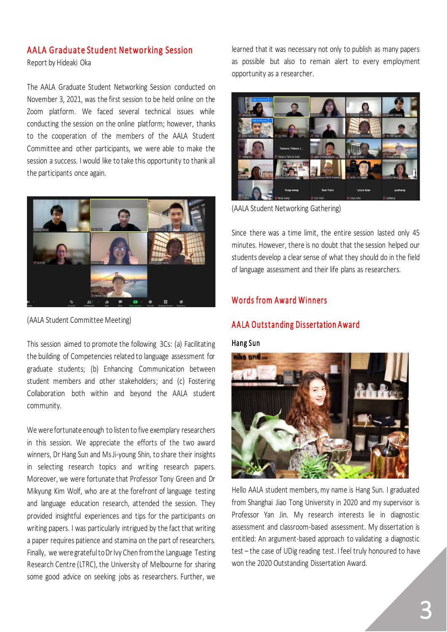#### AALA Graduate Student Networking Session

Report by Hideaki Oka

The AALA Graduate Student Networking Session conducted on November 3, 2021, was the first session to be held online on the Zoom platform. We faced several technical issues while conducting the session on the online platform; however, thanks to the cooperation of the members of the AALA Student Committee and other participants, we were able to make the session a success. I would like to take this opportunity to thank all the participants once again.



(AALA Student Committee Meeting)

This session aimed to promote the following 3Cs: (a) Facilitating the building of Competencies related to language assessment for graduate students; (b) Enhancing Communication between student members and other stakeholders; and (c) Fostering Collaboration both within and beyond the AALA student community.

We were fortunate enough to listen to five exemplary researchers in this session. We appreciate the efforts of the two award winners, Dr Hang Sun and Ms Ji-young Shin, to share their insights in selecting research topics and writing research papers. Moreover, we were fortunate that Professor Tony Green and Dr Mikyung Kim Wolf, who are at the forefront of language testing and language education research, attended the session. They provided insightful experiences and tips for the participants on writing papers. I was particularly intrigued by the fact that writing a paper requires patience and stamina on the part of researchers. Finally, we were grateful to Dr Ivy Chen from the Language Testing Research Centre (LTRC), the University of Melbourne for sharing some good advice on seeking jobs as researchers. Further, we

learned that it was necessary not only to publish as many papers as possible but also to remain alert to every employment opportunity as a researcher.



(AALA Student Networking Gathering)

Since there was a time limit, the entire session lasted only 45 minutes. However, there is no doubt that the session helped our students develop a clear sense of what they should do in the field of language assessment and their life plans as researchers.

## Words from Award Winners

## A ALA Outstanding Dissertation Award

#### Hang Sun



Hello AALA student members, my name is Hang Sun. I graduated from Shanghai Jiao Tong University in 2020 and my supervisor is Professor Yan Jin. My research interests lie in diagnostic assessment and classroom-based assessment. My dissertation is entitled: An argument-based approach to validating a diagnostic test – the case of UDig reading test. I feel truly honoured to have won the 2020 Outstanding Dissertation Award.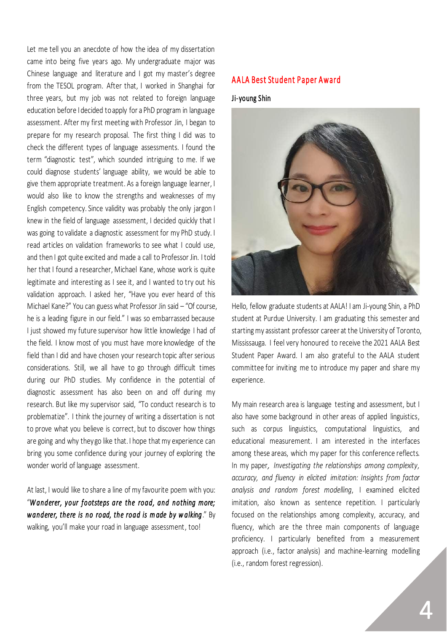Let me tell you an anecdote of how the idea of my dissertation came into being five years ago. My undergraduate major was Chinese language and literature and I got my master's degree from the TESOL program. After that, I worked in Shanghai for three years, but my job was not related to foreign language education before I decided to apply for a PhD program in language assessment. After my first meeting with Professor Jin, I began to prepare for my research proposal. The first thing I did was to check the different types of language assessments. I found the term "diagnostic test", which sounded intriguing to me. If we could diagnose students' language ability, we would be able to give them appropriate treatment. As a foreign language learner, I would also like to know the strengths and weaknesses of my English competency. Since validity was probably the only jargon I knew in the field of language assessment, I decided quickly that I was going to validate a diagnostic assessment for my PhD study. I read articles on validation frameworks to see what I could use, and then I got quite excited and made a call to Professor Jin. I told her that I found a researcher, Michael Kane, whose work is quite legitimate and interesting as I see it, and I wanted to try out his validation approach. I asked her, "Have you ever heard of this Michael Kane?" You can guess what Professor Jin said – "Of course, he is a leading figure in our field." I was so embarrassed because I just showed my future supervisor how little knowledge I had of the field. I know most of you must have more knowledge of the field than I did and have chosen your research topic after serious considerations. Still, we all have to go through difficult times during our PhD studies. My confidence in the potential of diagnostic assessment has also been on and off during my research. But like my supervisor said, "To conduct research is to problematize". I think the journey of writing a dissertation is not to prove what you believe is correct, but to discover how things are going and why they go like that. I hope that my experience can bring you some confidence during your journey of exploring the wonder world of language assessment.

At last, I would like to share a line of my favourite poem with you: "*W anderer, y our f ootsteps are the road, and nothing more; w anderer, there is no road, the road is m ade by w alking*." By walking, you'll make your road in language assessment, too!

#### A A LA Best Student Paper Award

#### Ji-young Shin



Hello, fellow graduate students at AALA! I am Ji-young Shin, a PhD student at Purdue University. I am graduating this semester and starting my assistant professor career at the University of Toronto, Mississauga. I feel very honoured to receive the 2021 AALA Best Student Paper Award. I am also grateful to the AALA student committee for inviting me to introduce my paper and share my experience.

My main research area is language testing and assessment, but I also have some background in other areas of applied linguistics, such as corpus linguistics, computational linguistics, and educational measurement. I am interested in the interfaces among these areas, which my paper for this conference reflects. In my paper*, Investigating the relationships among complexity, accuracy, and fluency in elicited imitation: Insights from factor analysis and random forest modelling*, I examined elicited imitation, also known as sentence repetition. I particularly focused on the relationships among complexity, accuracy, and fluency, which are the three main components of language proficiency. I particularly benefited from a measurement approach (i.e., factor analysis) and machine-learning modelling (i.e., random forest regression).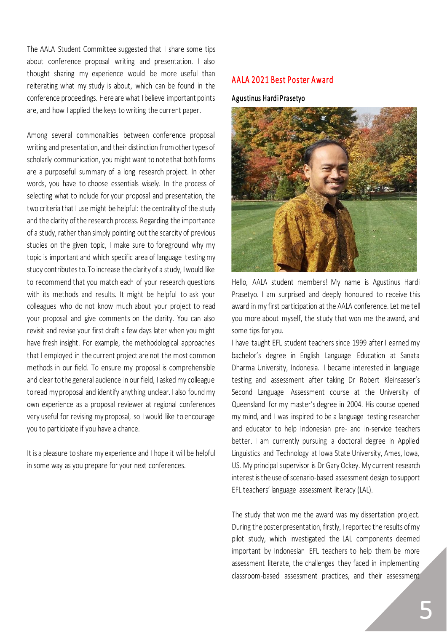The AALA Student Committee suggested that I share some tips about conference proposal writing and presentation. I also thought sharing my experience would be more useful than reiterating what my study is about, which can be found in the conference proceedings. Here are what I believe important points are, and how I applied the keys to writing the current paper.

Among several commonalities between conference proposal writing and presentation, and their distinction from other types of scholarly communication, you might want to note that both forms are a purposeful summary of a long research project. In other words, you have to choose essentials wisely. In the process of selecting what to include for your proposal and presentation, the two criteria that I use might be helpful: the centrality of the study and the clarity of the research process. Regarding the importance of a study, rather than simply pointing out the scarcity of previous studies on the given topic, I make sure to foreground why my topic is important and which specific area of language testing my study contributes to. To increase the clarity of a study, I would like to recommend that you match each of your research questions with its methods and results. It might be helpful to ask your colleagues who do not know much about your project to read your proposal and give comments on the clarity. You can also revisit and revise your first draft a few days later when you might have fresh insight. For example, the methodological approaches that I employed in the current project are not the most common methods in our field. To ensure my proposal is comprehensible and clear to the general audience in our field, I asked my colleague to read my proposal and identify anything unclear. I also found my own experience as a proposal reviewer at regional conferences very useful for revising my proposal, so I would like to encourage you to participate if you have a chance.

It is a pleasure to share my experience and I hope it will be helpful in some way as you prepare for your next conferences.

## A A L A 2021 Best Poster Award

#### A gustinus Hardi Prasetyo



Hello, AALA student members! My name is Agustinus Hardi Prasetyo. I am surprised and deeply honoured to receive this award in my first participation at the AALA conference. Let me tell you more about myself, the study that won me the award, and some tips for you.

I have taught EFL student teachers since 1999 after I earned my bachelor's degree in English Language Education at Sanata Dharma University, Indonesia. I became interested in language testing and assessment after taking Dr Robert Kleinsasser's Second Language Assessment course at the University of Queensland for my master's degree in 2004. His course opened my mind, and I was inspired to be a language testing researcher and educator to help Indonesian pre- and in-service teachers better. I am currently pursuing a doctoral degree in Applied Linguistics and Technology at Iowa State University, Ames, Iowa, US. My principal supervisor is Dr Gary Ockey. My current research interest is the use of scenario-based assessment design to support EFL teachers' language assessment literacy (LAL).

The study that won me the award was my dissertation project. During the poster presentation, firstly, I reported the results of my pilot study, which investigated the LAL components deemed important by Indonesian EFL teachers to help them be more assessment literate, the challenges they faced in implementing classroom-based assessment practices, and their assessment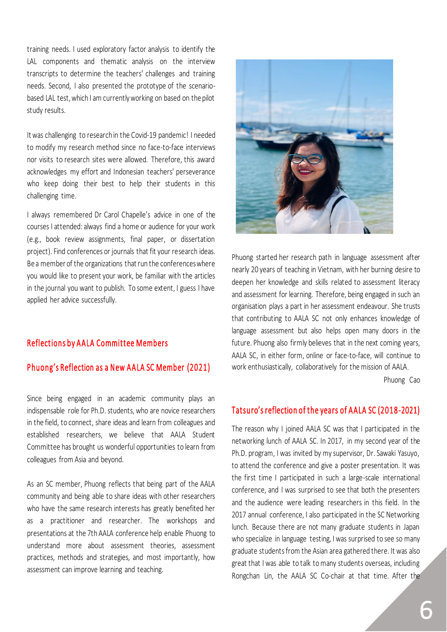training needs. I used exploratory factor analysis to identify the LAL components and thematic analysis on the interview transcripts to determine the teachers' challenges and training needs. Second, I also presented the prototype of the scenariobased LAL test, which I am currently working on based on the pilot study results.

It was challenging to researchin the Covid-19 pandemic! I needed to modify my research method since no face-to-face interviews nor visits to research sites were allowed. Therefore, this award acknowledges my effort and Indonesian teachers' perseverance who keep doing their best to help their students in this challenging time.

I always remembered Dr Carol Chapelle's advice in one of the courses I attended: always find a home or audience for your work (e.g., book review assignments, final paper, or dissertation project). Find conferences or journals that fit your research ideas. Be a member of the organizations that run the conferences where you would like to present your work, be familiar with the articles in the journal you want to publish. To some extent, I guess I have applied her advice successfully.

#### Reflections by A A LA Committee Members

#### Phuong's Reflection as a New AALA SC Member (2021)

Since being engaged in an academic community plays an indispensable role for Ph.D. students, who are novice researchers in the field, to connect, share ideas and learn from colleagues and established researchers, we believe that AALA Student Committee has brought us wonderful opportunities to learn from colleagues from Asia and beyond.

As an SC member, Phuong reflects that being part of the AALA community and being able to share ideas with other researchers who have the same research interests has greatly benefited her as a practitioner and researcher. The workshops and presentations at the 7th AALA conference help enable Phuong to understand more about assessment theories, assessment practices, methods and strategies, and most importantly, how assessment can improve learning and teaching.



Phuong started her research path in language assessment after nearly 20 years of teaching in Vietnam, with her burning desire to deepen her knowledge and skills related to assessment literacy and assessment for learning. Therefore, being engaged in such an organisation plays a part in her assessment endeavour. She trusts that contributing to AALA SC not only enhances knowledge of language assessment but also helps open many doors in the future. Phuong also firmly believes that in the next coming years, AALA SC, in either form, online or face-to-face, will continue to work enthusiastically, collaboratively for the mission of AALA.

Phuong Cao

## Tats uro's reflection of the years of AALA SC (2018-2021)

The reason why I joined AALA SC was that I participated in the networking lunch of AALA SC. In 2017, in my second year of the Ph.D. program, I was invited by my supervisor, Dr. Sawaki Yasuyo, to attend the conference and give a poster presentation. It was the first time I participated in such a large-scale international conference, and I was surprised to see that both the presenters and the audience were leading researchers in this field. In the 2017 annual conference, I also participated in the SC Networking lunch. Because there are not many graduate students in Japan who specialize in language testing, I was surprised to see so many graduate students from the Asian area gathered there. It was also great that I was able to talk to many students overseas, including Rongchan Lin, the AALA SC Co-chair at that time. After the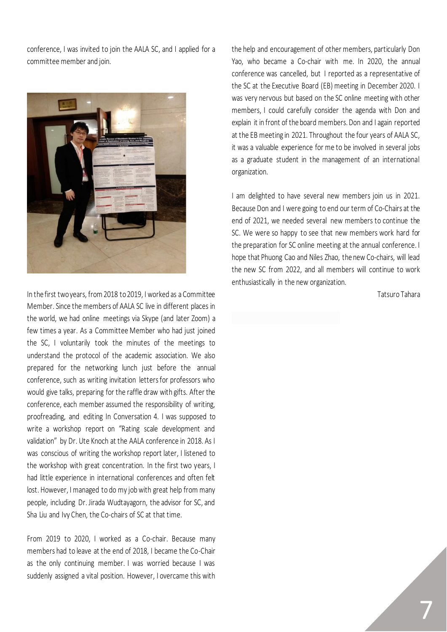conference, I was invited to join the AALA SC, and I applied for a committee member and join.



In the first two years, from 2018 to 2019, I worked as a Committee Member. Since the members of AALA SC live in different places in the world, we had online meetings via Skype (and later Zoom) a few times a year. As a Committee Member who had just joined the SC, I voluntarily took the minutes of the meetings to understand the protocol of the academic association. We also prepared for the networking lunch just before the annual conference, such as writing invitation letters for professors who would give talks, preparing for the raffle draw with gifts. After the conference, each member assumed the responsibility of writing, proofreading, and editing In Conversation 4. I was supposed to write a workshop report on "Rating scale development and validation" by Dr. Ute Knoch at the AALA conference in 2018. As I was conscious of writing the workshop report later, I listened to the workshop with great concentration. In the first two years, I had little experience in international conferences and often felt lost. However, I managed to do my job with great help from many people, including Dr. Jirada Wudtayagorn, the advisor for SC, and Sha Liu and Ivy Chen, the Co-chairs of SC at that time.

From 2019 to 2020, I worked as a Co-chair. Because many members had to leave at the end of 2018, I became the Co-Chair as the only continuing member. I was worried because I was suddenly assigned a vital position. However, I overcame this with the help and encouragement of other members, particularly Don Yao, who became a Co-chair with me. In 2020, the annual conference was cancelled, but I reported as a representative of the SC at the Executive Board (EB) meeting in December 2020. I was very nervous but based on the SC online meeting with other members, I could carefully consider the agenda with Don and explain it in front of the board members. Don and I again reported at the EB meeting in 2021. Throughout the four years of AALA SC, it was a valuable experience for me to be involved in several jobs as a graduate student in the management of an international organization.

I am delighted to have several new members join us in 2021. Because Don and I were going to end our term of Co-Chairs at the end of 2021, we needed several new members to continue the SC. We were so happy to see that new members work hard for the preparation for SC online meeting at the annual conference. I hope that Phuong Cao and Niles Zhao, the new Co-chairs, will lead the new SC from 2022, and all members will continue to work enthusiastically in the new organization.

Tatsuro Tahara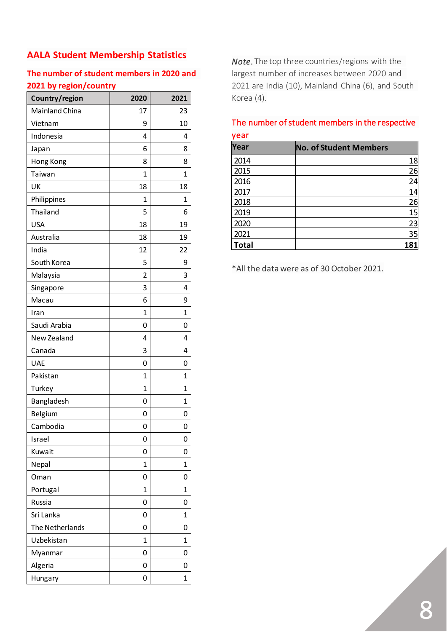# **AALA Student Membership Statistics**

# **The number of student members in 2020 and 2021 by region/country**

| Country/region  | 2020 | 2021 |
|-----------------|------|------|
| Mainland China  | 17   | 23   |
| Vietnam         | 9    | 10   |
| Indonesia       | 4    | 4    |
| Japan           | 6    | 8    |
| Hong Kong       | 8    | 8    |
| Taiwan          | 1    | 1    |
| UK              | 18   | 18   |
| Philippines     | 1    | 1    |
| Thailand        | 5    | 6    |
| <b>USA</b>      | 18   | 19   |
| Australia       | 18   | 19   |
| India           | 12   | 22   |
| South Korea     | 5    | 9    |
| Malaysia        | 2    | 3    |
| Singapore       | 3    | 4    |
| Macau           | 6    | 9    |
| Iran            | 1    | 1    |
| Saudi Arabia    | 0    | 0    |
| New Zealand     | 4    | 4    |
| Canada          | 3    | 4    |
| UAE             | 0    | 0    |
| Pakistan        | 1    | 1    |
| Turkey          | 1    | 1    |
| Bangladesh      | 0    | 1    |
| Belgium         | 0    | 0    |
| Cambodia        | 0    | 0    |
| Israel          | 0    | 0    |
| Kuwait          | 0    | 0    |
| Nepal           | 1    | 1    |
| Oman            | 0    | 0    |
| Portugal        | 1    | 1    |
| Russia          | 0    | 0    |
| Sri Lanka       | 0    | 1    |
| The Netherlands | 0    | 0    |
| Uzbekistan      | 1    | 1    |
| Myanmar         | 0    | 0    |
| Algeria         | 0    | 0    |
| Hungary         | 0    | 1    |

*Note*. The top three countries/regions with the largest number of increases between 2020 and 2021 are India (10), Mainland China (6), and South Korea (4).

### The number of student members in the respective year

| ,            |                               |  |  |
|--------------|-------------------------------|--|--|
| Year         | <b>No. of Student Members</b> |  |  |
| 2014         | 18                            |  |  |
| 2015         | 26                            |  |  |
| 2016         | 24                            |  |  |
| 2017         | 14                            |  |  |
| 2018         | 26                            |  |  |
| 2019         | 15                            |  |  |
| 2020         | 23                            |  |  |
| 2021         | 35                            |  |  |
| <b>Total</b> | 181                           |  |  |

\*All the data were as of 30 October 2021.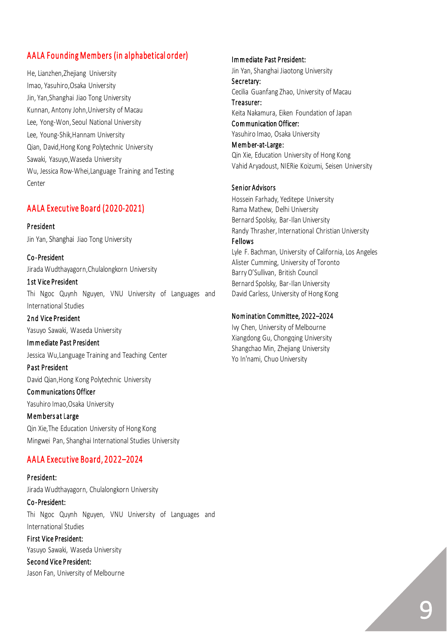# A A LA Founding Members (in alphabetical order)

He, Lianzhen,Zhejiang University Imao, Yasuhiro,Osaka University Jin, Yan,Shanghai Jiao Tong University Kunnan, Antony John,University of Macau Lee, Yong-Won, Seoul National University Lee, Young-Shik,Hannam University Qian, David,Hong Kong Polytechnic University Sawaki, Yasuyo,Waseda University Wu, Jessica Row-Whei,Language Training and Testing Center

## AALA Executive Board (2020-2021)

**President** Jin Yan, Shanghai Jiao Tong University

C o -President Jirada Wudthayagorn,Chulalongkorn University

1 st V ice President Thi Ngoc Quynh Nguyen, VNU University of Languages and International Studies

2 nd Vice President Yasuyo Sawaki, Waseda University

I m m ediate Past P resident Jessica Wu,Language Training and Teaching Center

P ast President David Qian,Hong Kong Polytechnic University

Communications Officer Yasuhiro Imao,Osaka University

#### Members at Large

Qin Xie,The Education University of Hong Kong Mingwei Pan, Shanghai International Studies University

# A A LA Executive Board, 2 0 2 2–20 24

P resident: Jirada Wudthayagorn, Chulalongkorn University Co-President: Thi Ngoc Quynh Nguyen, VNU University of Languages and International Studies First Vice President: Yasuyo Sawaki, Waseda University

Second Vice President: Jason Fan, University of Melbourne

#### I m m ediate Past P resident:

Jin Yan, Shanghai Jiaotong University Secretary: Cecilia Guanfang Zhao, University of Macau Treasurer: Keita Nakamura, Eiken Foundation of Japan Communication Officer: Yasuhiro Imao, Osaka University Member-at-Large:

Qin Xie, Education University of Hong Kong Vahid Aryadoust, NIERie Koizumi, Seisen University

#### Senior Advisors

Hossein Farhady, Yeditepe University Rama Mathew, Delhi University Bernard Spolsky, Bar-Ilan University Randy Thrasher, International Christian University **Fellows** Lyle F. Bachman, University of California, Los Angeles Alister Cumming, University of Toronto Barry O'Sullivan, British Council Bernard Spolsky, Bar-Ilan University David Carless, University of Hong Kong

#### Nomination Committee, 2022-2024

Ivy Chen, University of Melbourne Xiangdong Gu, Chongqing University Shangchao Min, Zhejiang University Yo In'nami, Chuo University